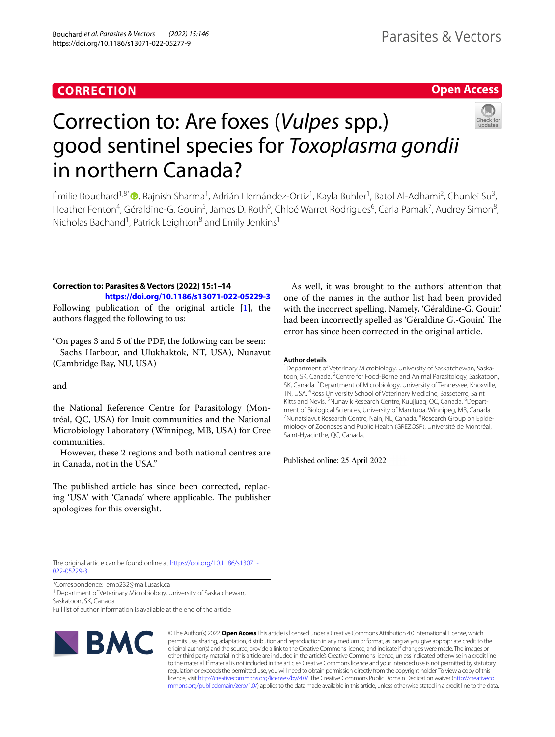# **CORRECTION**

## **Open Access**



# Correction to: Are foxes (*Vulpes* spp.) good sentinel species for *Toxoplasma gondii* in northern Canada?

Émilie Bouchard<sup>1[,](http://orcid.org/0000-0002-2430-9083)8\*</sup>®, Rajnish Sharma<sup>1</sup>, Adrián Hernández-Ortiz<sup>1</sup>, Kayla Buhler<sup>1</sup>, Batol Al-Adhami<sup>2</sup>, Chunlei Su<sup>3</sup>, Heather Fenton<sup>4</sup>, Géraldine-G. Gouin<sup>5</sup>, James D. Roth<sup>6</sup>, Chloé Warret Rodrigues<sup>6</sup>, Carla Pamak<sup>7</sup>, Audrey Simon<sup>8</sup>, Nicholas Bachand<sup>1</sup>, Patrick Leighton<sup>8</sup> and Emily Jenkins<sup>1</sup>

## **Correction to: Parasites & Vectors (2022) 15:1–14 <https://doi.org/10.1186/s13071-022-05229-3>**

Following publication of the original article [\[1\]](#page-1-0), the authors fagged the following to us:

"On pages 3 and 5 of the PDF, the following can be seen: Sachs Harbour, and Ulukhaktok, NT, USA), Nunavut (Cambridge Bay, NU, USA)

and

the National Reference Centre for Parasitology (Montréal, QC, USA) for Inuit communities and the National Microbiology Laboratory (Winnipeg, MB, USA) for Cree communities.

However, these 2 regions and both national centres are in Canada, not in the USA."

The published article has since been corrected, replacing 'USA' with 'Canada' where applicable. The publisher apologizes for this oversight.

As well, it was brought to the authors' attention that one of the names in the author list had been provided with the incorrect spelling. Namely, 'Géraldine-G. Gouin' had been incorrectly spelled as 'Géraldine G.-Gouin'. The error has since been corrected in the original article.

## **Author details**

<sup>1</sup> Department of Veterinary Microbiology, University of Saskatchewan, Saskatoon, SK, Canada. <sup>2</sup> Centre for Food-Borne and Animal Parasitology, Saskatoon, SK, Canada. <sup>3</sup> Department of Microbiology, University of Tennessee, Knoxville, TN, USA. <sup>4</sup>Ross University School of Veterinary Medicine, Basseterre, Saint Kitts and Nevis.<sup>5</sup> Nunavik Research Centre, Kuujjuaq, QC, Canada.<sup>6</sup> Department of Biological Sciences, University of Manitoba, Winnipeg, MB, Canada. 7 Nunatsiavut Research Centre, Nain, NL, Canada. <sup>8</sup>Research Group on Epidemiology of Zoonoses and Public Health (GREZOSP), Université de Montréal, Saint-Hyacinthe, QC, Canada.

Published online: 25 April 2022

The original article can be found online at [https://doi.org/10.1186/s13071-](https://doi.org/10.1186/s13071-022-05229-3) [022-05229-3](https://doi.org/10.1186/s13071-022-05229-3).

\*Correspondence: emb232@mail.usask.ca

<sup>1</sup> Department of Veterinary Microbiology, University of Saskatchewan, Saskatoon, SK, Canada

Full list of author information is available at the end of the article



© The Author(s) 2022. **Open Access** This article is licensed under a Creative Commons Attribution 4.0 International License, which permits use, sharing, adaptation, distribution and reproduction in any medium or format, as long as you give appropriate credit to the original author(s) and the source, provide a link to the Creative Commons licence, and indicate if changes were made. The images or other third party material in this article are included in the article's Creative Commons licence, unless indicated otherwise in a credit line to the material. If material is not included in the article's Creative Commons licence and your intended use is not permitted by statutory regulation or exceeds the permitted use, you will need to obtain permission directly from the copyright holder. To view a copy of this licence, visit [http://creativecommons.org/licenses/by/4.0/.](http://creativecommons.org/licenses/by/4.0/) The Creative Commons Public Domain Dedication waiver ([http://creativeco](http://creativecommons.org/publicdomain/zero/1.0/) [mmons.org/publicdomain/zero/1.0/](http://creativecommons.org/publicdomain/zero/1.0/)) applies to the data made available in this article, unless otherwise stated in a credit line to the data.